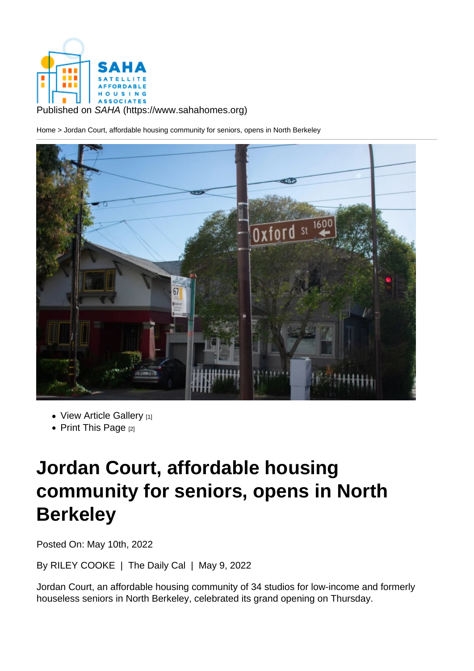Published on SAHA (https://www.sahahomes.org)

Home > Jordan Court, affordable housing community for seniors, opens in North Berkeley

- View Article Gallery [1]
- Print This Page  $[2]$

## Jo[rdan Co](https://www.sahahomes.org/printpdf/1264)[urt](https://www.sahahomes.org/?inline=true&scrollbars=no#node-images-lightbox), affordable housing community for seniors, opens in North **Berkeley**

Posted On: May 10th, 2022

By RILEY COOKE | The Daily Cal | May 9, 2022

Jordan Court, an affordable housing community of 34 studios for low-income and formerly houseless seniors in North Berkeley, celebrated its grand opening on Thursday.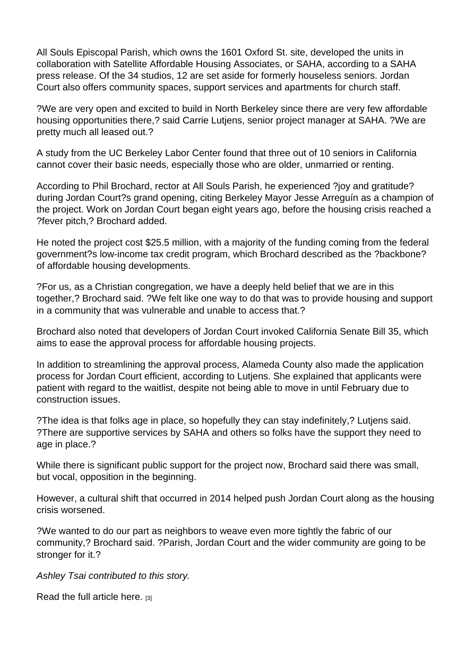All Souls Episcopal Parish, which owns the 1601 Oxford St. site, developed the units in collaboration with Satellite Affordable Housing Associates, or SAHA, according to a SAHA press release. Of the 34 studios, 12 are set aside for formerly houseless seniors. Jordan Court also offers community spaces, support services and apartments for church staff.

?We are very open and excited to build in North Berkeley since there are very few affordable housing opportunities there,? said Carrie Lutjens, senior project manager at SAHA. ?We are pretty much all leased out.?

A study from the UC Berkeley Labor Center found that three out of 10 seniors in California cannot cover their basic needs, especially those who are older, unmarried or renting.

According to Phil Brochard, rector at All Souls Parish, he experienced ?joy and gratitude? during Jordan Court?s grand opening, citing Berkeley Mayor Jesse Arreguín as a champion of the project. Work on Jordan Court began eight years ago, before the housing crisis reached a ?fever pitch,? Brochard added.

He noted the project cost \$25.5 million, with a majority of the funding coming from the federal government?s low-income tax credit program, which Brochard described as the ?backbone? of affordable housing developments.

?For us, as a Christian congregation, we have a deeply held belief that we are in this together,? Brochard said. ?We felt like one way to do that was to provide housing and support in a community that was vulnerable and unable to access that.?

Brochard also noted that developers of Jordan Court invoked California Senate Bill 35, which aims to ease the approval process for affordable housing projects.

In addition to streamlining the approval process, Alameda County also made the application process for Jordan Court efficient, according to Lutjens. She explained that applicants were patient with regard to the waitlist, despite not being able to move in until February due to construction issues.

?The idea is that folks age in place, so hopefully they can stay indefinitely,? Lutjens said. ?There are supportive services by SAHA and others so folks have the support they need to age in place.?

While there is significant public support for the project now, Brochard said there was small, but vocal, opposition in the beginning.

However, a cultural shift that occurred in 2014 helped push Jordan Court along as the housing crisis worsened.

?We wanted to do our part as neighbors to weave even more tightly the fabric of our community,? Brochard said. ?Parish, Jordan Court and the wider community are going to be stronger for it.?

Ashley Tsai contributed to this story.

Read the full article here. [3]